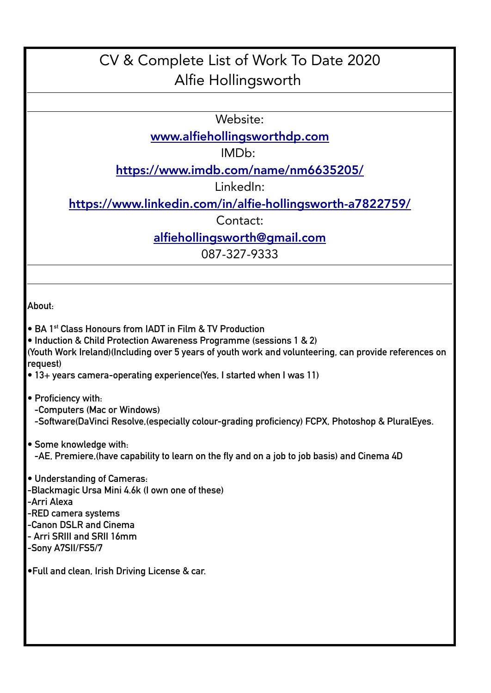## CV & Complete List of Work To Date 2020 Alfie Hollingsworth

Website:

[www.alfiehollingsworthdp.com](http://www.alfiehollingsworthdp.com/)

IMDb:

<https://www.imdb.com/name/nm6635205/>

LinkedIn:

<https://www.linkedin.com/in/alfie-hollingsworth-a7822759/>

Contact:

[alfiehollingsworth@gmail.com](mailto:alfiehollingsworth@gmail.com)

087-327-9333

**About:**

- **BA 1st Class Honours from IADT in Film & TV Production**
- **Induction & Child Protection Awareness Programme (sessions 1 & 2)**

**(Youth Work Ireland)(Including over 5 years of youth work and volunteering, can provide references on request)**

- **13+ years camera-operating experience(Yes, I started when I was 11)**
- **Proficiency with:**
	- **-Computers (Mac or Windows)**
	- **-Software(DaVinci Resolve,(especially colour-grading proficiency) FCPX, Photoshop & PluralEyes.**
- **Some knowledge with: -AE, Premiere,(have capability to learn on the fly and on a job to job basis) and Cinema 4D**
- **Understanding of Cameras:**
- **-Blackmagic Ursa Mini 4.6k (I own one of these)**
- **-Arri Alexa**
- **-RED camera systems**
- **-Canon DSLR and Cinema**
- **Arri SRIII and SRII 16mm**
- **-Sony A7SII/FS5/7**

**•Full and clean, Irish Driving License & car.**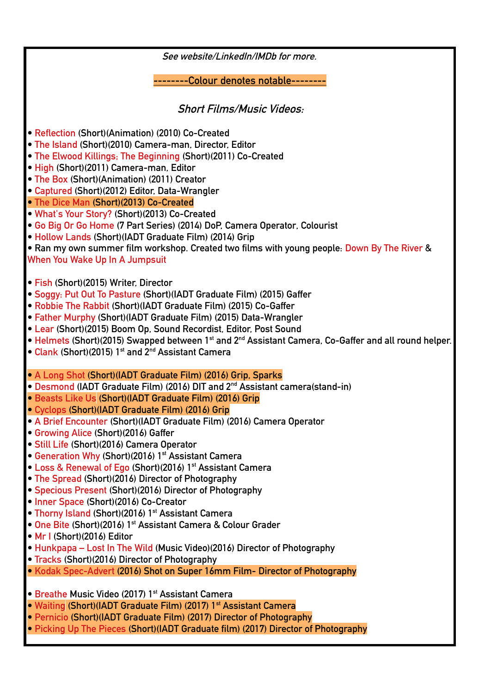**See website/LinkedIn/IMDb for more. --------Colour denotes notable-------- Short Films/Music Videos: • Reflection (Short)(Animation) (2010) Co-Created • The Island (Short)(2010) Camera-man, Director, Editor • The Elwood Killings; The Beginning (Short)(2011) Co-Created • High (Short)(2011) Camera-man, Editor • The Box (Short)(Animation) (2011) Creator • Captured (Short)(2012) Editor, Data-Wrangler • The Dice Man (Short)(2013) Co-Created • What's Your Story? (Short)(2013) Co-Created • Go Big Or Go Home (7 Part Series) (2014) DoP, Camera Operator, Colourist • Hollow Lands (Short)(IADT Graduate Film) (2014) Grip • Ran my own summer film workshop. Created two films with young people: Down By The River & When You Wake Up In A Jumpsuit • Fish (Short)(2015) Writer, Director • Soggy: Put Out To Pasture (Short)(IADT Graduate Film) (2015) Gaffer • Robbie The Rabbit (Short)(IADT Graduate Film) (2015) Co-Gaffer • Father Murphy (Short)(IADT Graduate Film) (2015) Data-Wrangler • Lear (Short)(2015) Boom Op, Sound Recordist, Editor, Post Sound • Helmets (Short)(2015) Swapped between 1st and 2nd Assistant Camera, Co-Gaffer and all round helper. • Clank (Short)(2015) 1st and 2nd Assistant Camera • A Long Shot (Short)(IADT Graduate Film) (2016) Grip, Sparks • Desmond (IADT Graduate Film) (2016) DIT and 2nd Assistant camera(stand-in) • Beasts Like Us (Short)(IADT Graduate Film) (2016) Grip • Cyclops (Short)(IADT Graduate Film) (2016) Grip • A Brief Encounter (Short)(IADT Graduate Film) (2016) Camera Operator • Growing Alice (Short)(2016) Gaffer • Still Life (Short)(2016) Camera Operator • Generation Why (Short)(2016) 1st Assistant Camera • Loss & Renewal of Ego (Short)(2016) 1st Assistant Camera • The Spread (Short)(2016) Director of Photography • Specious Present (Short)(2016) Director of Photography • Inner Space (Short)(2016) Co-Creator • Thorny Island (Short)(2016) 1st Assistant Camera • One Bite (Short)(2016) 1st Assistant Camera & Colour Grader • Mr I (Short)(2016) Editor • Hunkpapa – Lost In The Wild (Music Video)(2016) Director of Photography • Tracks (Short)(2016) Director of Photography • Kodak Spec-Advert (2016) Shot on Super 16mm Film- Director of Photography • Breathe Music Video (2017) 1st Assistant Camera • Waiting (Short)(IADT Graduate Film) (2017) 1st Assistant Camera • Pernicio (Short)(IADT Graduate Film) (2017) Director of Photography**

**• Picking Up The Pieces (Short)(IADT Graduate film) (2017) Director of Photography**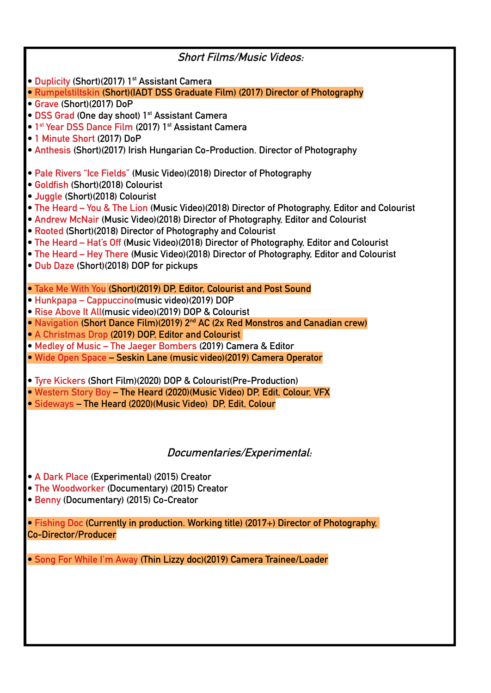| <b>Short Films/Music Videos:</b>                                                               |
|------------------------------------------------------------------------------------------------|
| • Duplicity (Short)(2017) 1 <sup>st</sup> Assistant Camera                                     |
| · Rumpelstiltskin (Short)(IADT DSS Graduate Film) (2017) Director of Photography               |
| • Grave (Short)(2017) DoP                                                                      |
| • DSS Grad (One day shoot) 1 <sup>st</sup> Assistant Camera                                    |
| • 1 <sup>st</sup> Year DSS Dance Film (2017) 1 <sup>st</sup> Assistant Camera                  |
| • 1 Minute Short (2017) DoP                                                                    |
| • Anthesis (Short)(2017) Irish Hungarian Co-Production. Director of Photography                |
| • Pale Rivers "Ice Fields" (Music Video) (2018) Director of Photography                        |
| • Goldfish (Short)(2018) Colourist                                                             |
| • Juggle (Short)(2018) Colourist                                                               |
| • The Heard – You & The Lion (Music Video)(2018) Director of Photography, Editor and Colourist |
| • Andrew McNair (Music Video)(2018) Director of Photography, Editor and Colourist              |
| • Rooted (Short)(2018) Director of Photography and Colourist                                   |
| • The Heard – Hat's Off (Music Video)(2018) Director of Photography, Editor and Colourist      |
| • The Heard – Hey There (Music Video)(2018) Director of Photography, Editor and Colourist      |
| . Dub Daze (Short)(2018) DOP for pickups                                                       |
|                                                                                                |
| . Take Me With You (Short)(2019) DP, Editor, Colourist and Post Sound                          |
| · Hunkpapa - Cappuccino (music video) (2019) DOP                                               |
| • Rise Above It All(music video)(2019) DOP & Colourist                                         |
| • Navigation (Short Dance Film)(2019) 2 <sup>nd</sup> AC (2x Red Monstros and Canadian crew)   |
| • A Christmas Drop (2019) DOP, Editor and Colourist                                            |
| • Medley of Music - The Jaeger Bombers (2019) Camera & Editor                                  |
| · Wide Open Space - Seskin Lane (music video)(2019) Camera Operator                            |
|                                                                                                |
| • Tyre Kickers (Short Film)(2020) DOP & Colourist(Pre-Production)                              |
| . Western Story Boy - The Heard (2020) (Music Video) DP, Edit, Colour, VFX                     |
| • Sideways - The Heard (2020) (Music Video) DP, Edit, Colour                                   |
|                                                                                                |
|                                                                                                |
|                                                                                                |
| Documentaries/Experimental:                                                                    |
|                                                                                                |
| • A Dark Place (Experimental) (2015) Creator                                                   |
| • The Woodworker (Documentary) (2015) Creator                                                  |
| · Benny (Documentary) (2015) Co-Creator                                                        |
| • Fishing Doc (Currently in production. Working title) (2017+) Director of Photography,        |
| <b>Co-Director/Producer</b>                                                                    |
|                                                                                                |
| • Song For While I'm Away (Thin Lizzy doc)(2019) Camera Trainee/Loader                         |
|                                                                                                |
|                                                                                                |
|                                                                                                |
|                                                                                                |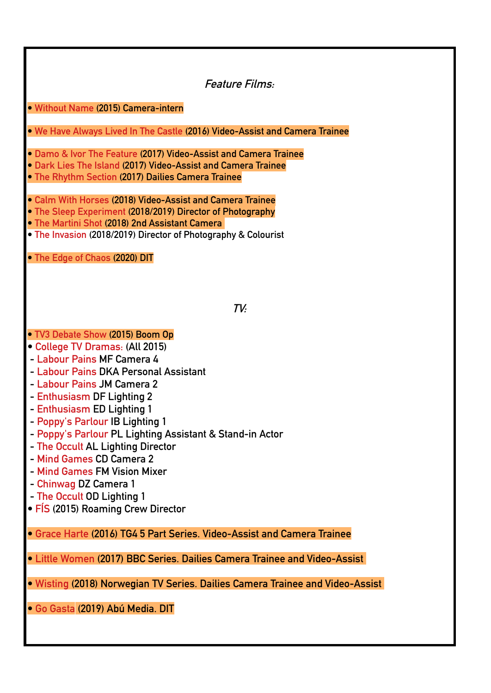**Feature Films:**

**• Without Name (2015) Camera-intern**

**• We Have Always Lived In The Castle (2016) Video-Assist and Camera Trainee**

**• Damo & Ivor The Feature (2017) Video-Assist and Camera Trainee**

**• Dark Lies The Island (2017) Video-Assist and Camera Trainee**

**• The Rhythm Section (2017) Dailies Camera Trainee**

**• Calm With Horses (2018) Video-Assist and Camera Trainee**

**• The Sleep Experiment (2018/2019) Director of Photography**

**• The Martini Shot (2018) 2nd Assistant Camera** 

**• The Invasion (2018/2019) Director of Photography & Colourist**

**• The Edge of Chaos (2020) DIT**

**TV:**

## **• TV3 Debate Show (2015) Boom Op**

- **College TV Dramas: (All 2015)**
- **Labour Pains MF Camera 4**
- **Labour Pains DKA Personal Assistant**
- **Labour Pains JM Camera 2**
- **Enthusiasm DF Lighting 2**
- **Enthusiasm ED Lighting 1**
- **Poppy's Parlour IB Lighting 1**
- **Poppy's Parlour PL Lighting Assistant & Stand-in Actor**
- **The Occult AL Lighting Director**
- **Mind Games CD Camera 2**
- **Mind Games FM Vision Mixer**
- **Chinwag DZ Camera 1**
- **The Occult OD Lighting 1**
- **FÍS (2015) Roaming Crew Director**

**• Grace Harte (2016) TG4 5 Part Series. Video-Assist and Camera Trainee**

**• Little Women (2017) BBC Series. Dailies Camera Trainee and Video-Assist** 

**• Wisting (2018) Norwegian TV Series. Dailies Camera Trainee and Video-Assist** 

**• Go Gasta (2019) Abú Media. DIT**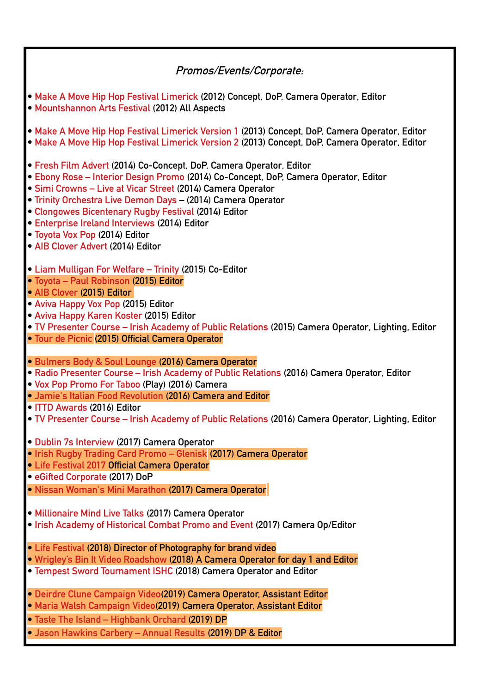## **Promos/Events/Corporate:**

- **Make A Move Hip Hop Festival Limerick (2012) Concept, DoP, Camera Operator, Editor • Mountshannon Arts Festival (2012) All Aspects • Make A Move Hip Hop Festival Limerick Version 1 (2013) Concept, DoP, Camera Operator, Editor • Make A Move Hip Hop Festival Limerick Version 2 (2013) Concept, DoP, Camera Operator, Editor • Fresh Film Advert (2014) Co-Concept, DoP, Camera Operator, Editor • Ebony Rose – Interior Design Promo (2014) Co-Concept, DoP, Camera Operator, Editor • Simi Crowns – Live at Vicar Street (2014) Camera Operator • Trinity Orchestra Live Demon Days – (2014) Camera Operator • Clongowes Bicentenary Rugby Festival (2014) Editor • Enterprise Ireland Interviews (2014) Editor • Toyota Vox Pop (2014) Editor • AIB Clover Advert (2014) Editor • Liam Mulligan For Welfare – Trinity (2015) Co-Editor • Toyota – Paul Robinson (2015) Editor • AIB Clover (2015) Editor • Aviva Happy Vox Pop (2015) Editor • Aviva Happy Karen Koster (2015) Editor • TV Presenter Course – Irish Academy of Public Relations (2015) Camera Operator, Lighting, Editor • Tour de Picnic (2015) Official Camera Operator • Bulmers Body & Soul Lounge (2016) Camera Operator • Radio Presenter Course – Irish Academy of Public Relations (2016) Camera Operator, Editor • Vox Pop Promo For Taboo (Play) (2016) Camera • Jamie's Italian Food Revolution (2016) Camera and Editor • ITTD Awards (2016) Editor • TV Presenter Course – Irish Academy of Public Relations (2016) Camera Operator, Lighting, Editor • Dublin 7s Interview (2017) Camera Operator • Irish Rugby Trading Card Promo – Glenisk (2017) Camera Operator • Life Festival 2017 Official Camera Operator • eGifted Corporate (2017) DoP • Nissan Woman's Mini Marathon (2017) Camera Operator • Millionaire Mind Live Talks (2017) Camera Operator • Irish Academy of Historical Combat Promo and Event (2017) Camera Op/Editor • Life Festival (2018) Director of Photography for brand video • Wrigley's Bin It Video Roadshow (2018) A Camera Operator for day 1 and Editor • Tempest Sword Tournament ISHC (2018) Camera Operator and Editor • Deirdre Clune Campaign Video(2019) Camera Operator, Assistant Editor • Maria Walsh Campaign Video(2019) Camera Operator, Assistant Editor • Taste The Island – Highbank Orchard (2019) DP**
	- **Jason Hawkins Carbery Annual Results (2019) DP & Editor**